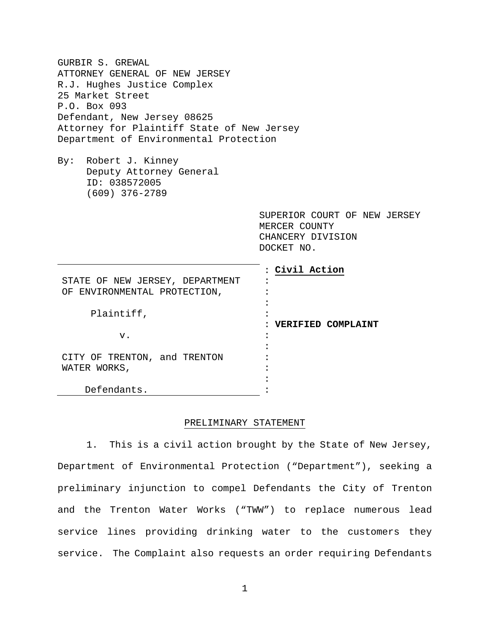| GURBIR S. GREWAL                           |                              |
|--------------------------------------------|------------------------------|
| ATTORNEY GENERAL OF NEW JERSEY             |                              |
| R.J. Hughes Justice Complex                |                              |
| 25 Market Street                           |                              |
| P.O. Box 093                               |                              |
| Defendant, New Jersey 08625                |                              |
| Attorney for Plaintiff State of New Jersey |                              |
| Department of Environmental Protection     |                              |
|                                            |                              |
| By:<br>Robert J. Kinney                    |                              |
| Deputy Attorney General                    |                              |
| ID: 038572005                              |                              |
| $(609)$ 376-2789                           |                              |
|                                            |                              |
|                                            | SUPERIOR COURT OF NEW JERSEY |
|                                            | MERCER COUNTY                |
|                                            | CHANCERY DIVISION            |
|                                            | DOCKET NO.                   |
|                                            |                              |
|                                            | Civil Action                 |
| STATE OF NEW JERSEY, DEPARTMENT            |                              |
| OF ENVIRONMENTAL PROTECTION,               |                              |
|                                            |                              |
| Plaintiff,                                 |                              |
|                                            | VERIFIED COMPLAINT           |
| V.                                         |                              |
|                                            |                              |
| CITY OF TRENTON, and TRENTON               |                              |
| WATER WORKS,                               |                              |
|                                            |                              |
| Defendants.                                |                              |

# PRELIMINARY STATEMENT

1. This is a civil action brought by the State of New Jersey, Department of Environmental Protection ("Department"), seeking a preliminary injunction to compel Defendants the City of Trenton and the Trenton Water Works ("TWW") to replace numerous lead service lines providing drinking water to the customers they service. The Complaint also requests an order requiring Defendants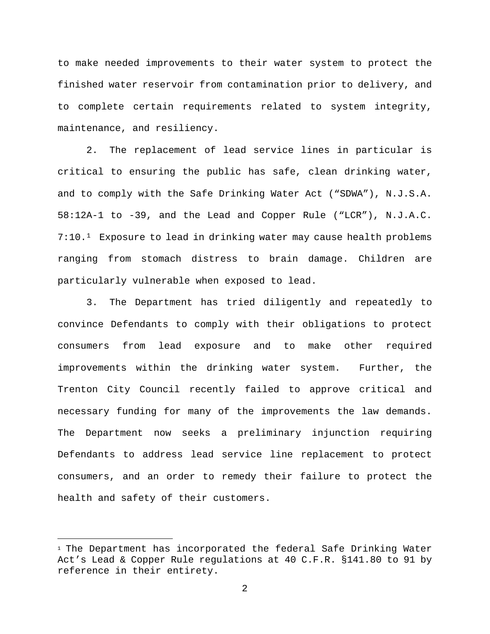to make needed improvements to their water system to protect the finished water reservoir from contamination prior to delivery, and to complete certain requirements related to system integrity, maintenance, and resiliency.

2. The replacement of lead service lines in particular is critical to ensuring the public has safe, clean drinking water, and to comply with the Safe Drinking Water Act ("SDWA"), N.J.S.A. 58:12A-1 to -39, and the Lead and Copper Rule ("LCR"), N.J.A.C. 7:10.[1](#page-1-0) Exposure to lead in drinking water may cause health problems ranging from stomach distress to brain damage. Children are particularly vulnerable when exposed to lead.

3. The Department has tried diligently and repeatedly to convince Defendants to comply with their obligations to protect consumers from lead exposure and to make other required improvements within the drinking water system. Further, the Trenton City Council recently failed to approve critical and necessary funding for many of the improvements the law demands. The Department now seeks a preliminary injunction requiring Defendants to address lead service line replacement to protect consumers, and an order to remedy their failure to protect the health and safety of their customers.

Ĩ.

<span id="page-1-0"></span><sup>1</sup> The Department has incorporated the federal Safe Drinking Water Act's Lead & Copper Rule regulations at 40 C.F.R. §141.80 to 91 by reference in their entirety.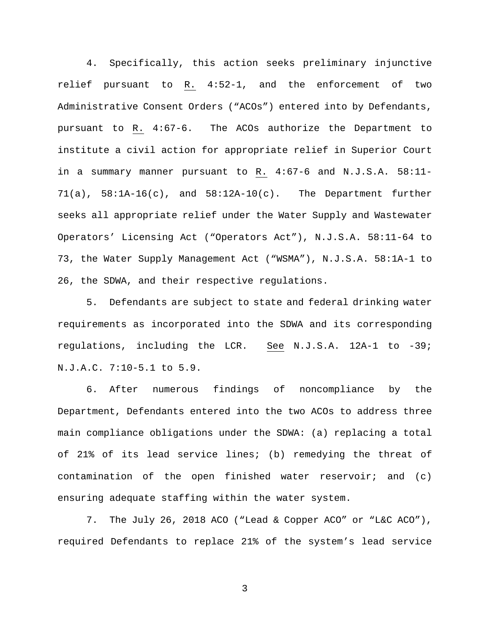4. Specifically, this action seeks preliminary injunctive relief pursuant to R. 4:52-1, and the enforcement of two Administrative Consent Orders ("ACOs") entered into by Defendants, pursuant to R. 4:67-6. The ACOs authorize the Department to institute a civil action for appropriate relief in Superior Court in a summary manner pursuant to R. 4:67-6 and N.J.S.A. 58:11-  $71(a)$ ,  $58:1A-16(c)$ , and  $58:12A-10(c)$ . The Department further seeks all appropriate relief under the Water Supply and Wastewater Operators' Licensing Act ("Operators Act"), N.J.S.A. 58:11-64 to 73, the Water Supply Management Act ("WSMA"), N.J.S.A. 58:1A-1 to 26, the SDWA, and their respective regulations.

5. Defendants are subject to state and federal drinking water requirements as incorporated into the SDWA and its corresponding regulations, including the LCR. See N.J.S.A. 12A-1 to -39; N.J.A.C. 7:10-5.1 to 5.9.

6. After numerous findings of noncompliance by the Department, Defendants entered into the two ACOs to address three main compliance obligations under the SDWA: (a) replacing a total of 21% of its lead service lines; (b) remedying the threat of contamination of the open finished water reservoir; and (c) ensuring adequate staffing within the water system.

7. The July 26, 2018 ACO ("Lead & Copper ACO" or "L&C ACO"), required Defendants to replace 21% of the system's lead service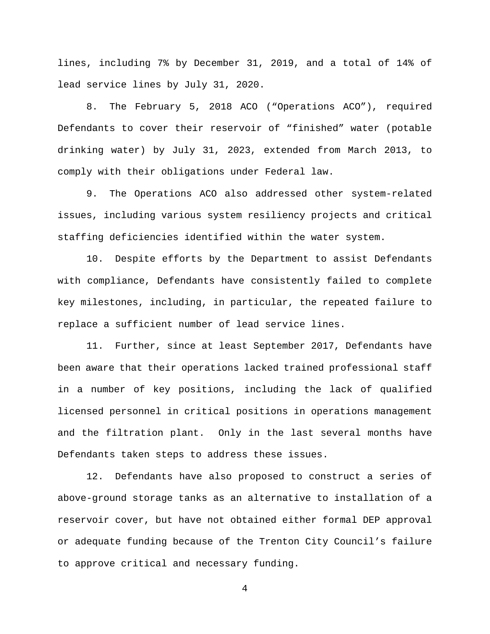lines, including 7% by December 31, 2019, and a total of 14% of lead service lines by July 31, 2020.

8. The February 5, 2018 ACO ("Operations ACO"), required Defendants to cover their reservoir of "finished" water (potable drinking water) by July 31, 2023, extended from March 2013, to comply with their obligations under Federal law.

9. The Operations ACO also addressed other system-related issues, including various system resiliency projects and critical staffing deficiencies identified within the water system.

10. Despite efforts by the Department to assist Defendants with compliance, Defendants have consistently failed to complete key milestones, including, in particular, the repeated failure to replace a sufficient number of lead service lines.

11. Further, since at least September 2017, Defendants have been aware that their operations lacked trained professional staff in a number of key positions, including the lack of qualified licensed personnel in critical positions in operations management and the filtration plant. Only in the last several months have Defendants taken steps to address these issues.

12. Defendants have also proposed to construct a series of above-ground storage tanks as an alternative to installation of a reservoir cover, but have not obtained either formal DEP approval or adequate funding because of the Trenton City Council's failure to approve critical and necessary funding.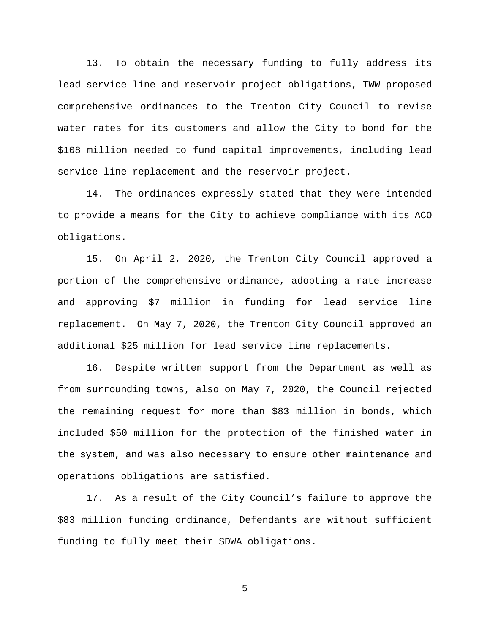13. To obtain the necessary funding to fully address its lead service line and reservoir project obligations, TWW proposed comprehensive ordinances to the Trenton City Council to revise water rates for its customers and allow the City to bond for the \$108 million needed to fund capital improvements, including lead service line replacement and the reservoir project.

14. The ordinances expressly stated that they were intended to provide a means for the City to achieve compliance with its ACO obligations.

15. On April 2, 2020, the Trenton City Council approved a portion of the comprehensive ordinance, adopting a rate increase and approving \$7 million in funding for lead service line replacement. On May 7, 2020, the Trenton City Council approved an additional \$25 million for lead service line replacements.

16. Despite written support from the Department as well as from surrounding towns, also on May 7, 2020, the Council rejected the remaining request for more than \$83 million in bonds, which included \$50 million for the protection of the finished water in the system, and was also necessary to ensure other maintenance and operations obligations are satisfied.

17. As a result of the City Council's failure to approve the \$83 million funding ordinance, Defendants are without sufficient funding to fully meet their SDWA obligations.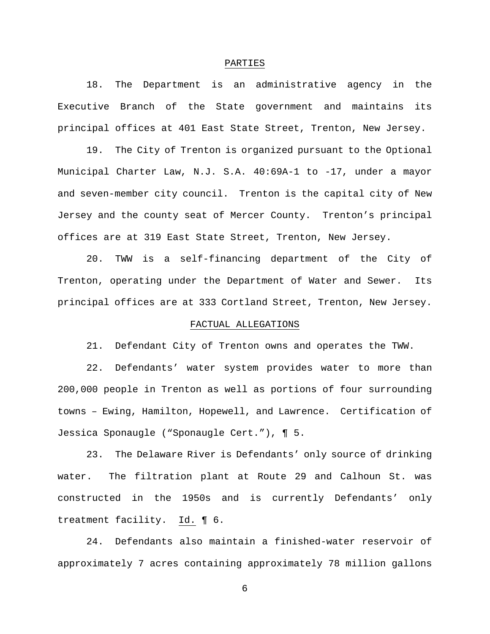#### PARTIES

18. The Department is an administrative agency in the Executive Branch of the State government and maintains its principal offices at 401 East State Street, Trenton, New Jersey.

19. The City of Trenton is organized pursuant to the Optional Municipal Charter Law, N.J. S.A. 40:69A-1 to -17, under a mayor and seven-member city council. Trenton is the capital city of New Jersey and the county seat of Mercer County. Trenton's principal offices are at 319 East State Street, Trenton, New Jersey.

20. TWW is a self-financing department of the City of Trenton, operating under the Department of Water and Sewer. Its principal offices are at 333 Cortland Street, Trenton, New Jersey.

#### FACTUAL ALLEGATIONS

21. Defendant City of Trenton owns and operates the TWW.

22. Defendants' water system provides water to more than 200,000 people in Trenton as well as portions of four surrounding towns – Ewing, Hamilton, Hopewell, and Lawrence. Certification of Jessica Sponaugle ("Sponaugle Cert."), ¶ 5.

23. The Delaware River is Defendants' only source of drinking water. The filtration plant at Route 29 and Calhoun St. was constructed in the 1950s and is currently Defendants' only treatment facility. Id. ¶ 6.

24. Defendants also maintain a finished-water reservoir of approximately 7 acres containing approximately 78 million gallons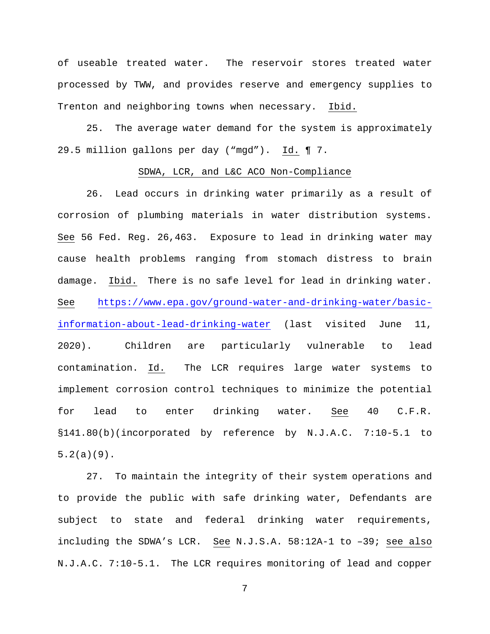of useable treated water. The reservoir stores treated water processed by TWW, and provides reserve and emergency supplies to Trenton and neighboring towns when necessary. Ibid.

25. The average water demand for the system is approximately 29.5 million gallons per day ("mgd"). Id. ¶ 7.

#### SDWA, LCR, and L&C ACO Non-Compliance

26. Lead occurs in drinking water primarily as a result of corrosion of plumbing materials in water distribution systems. See 56 Fed. Reg. 26,463. Exposure to lead in drinking water may cause health problems ranging from stomach distress to brain damage. Ibid. There is no safe level for lead in drinking water. See [https://www.epa.gov/ground-water-and-drinking-water/basic](https://www.epa.gov/ground-water-and-drinking-water/basic-information-about-lead-drinking-water)[information-about-lead-drinking-water](https://www.epa.gov/ground-water-and-drinking-water/basic-information-about-lead-drinking-water) (last visited June 11, 2020). Children are particularly vulnerable to lead contamination. Id. The LCR requires large water systems to implement corrosion control techniques to minimize the potential for lead to enter drinking water. <u>See</u> 40 C.F.R. §141.80(b)(incorporated by reference by N.J.A.C. 7:10-5.1 to 5.2(a)(9).

27. To maintain the integrity of their system operations and to provide the public with safe drinking water, Defendants are subject to state and federal drinking water requirements, including the SDWA's LCR. See N.J.S.A. 58:12A-1 to –39; see also N.J.A.C. 7:10-5.1. The LCR requires monitoring of lead and copper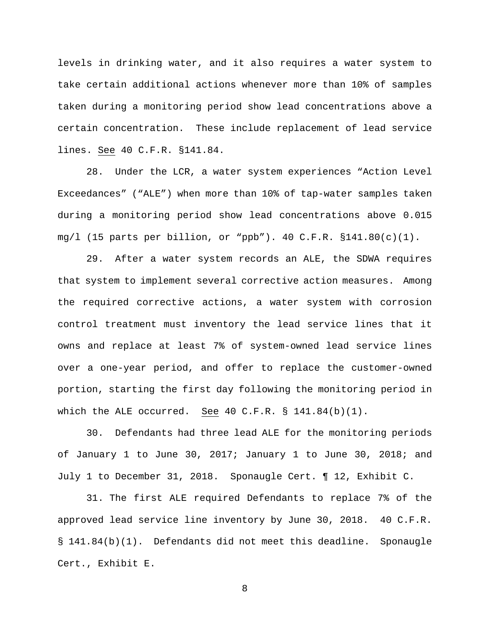levels in drinking water, and it also requires a water system to take certain additional actions whenever more than 10% of samples taken during a monitoring period show lead concentrations above a certain concentration. These include replacement of lead service lines. See 40 C.F.R. §141.84.

28. Under the LCR, a water system experiences "Action Level Exceedances" ("ALE") when more than 10% of tap-water samples taken during a monitoring period show lead concentrations above 0.015 mg/l (15 parts per billion, or "ppb"). 40 C.F.R. §141.80(c)(1).

29. After a water system records an ALE, the SDWA requires that system to implement several corrective action measures. Among the required corrective actions, a water system with corrosion control treatment must inventory the lead service lines that it owns and replace at least 7% of system-owned lead service lines over a one-year period, and offer to replace the customer-owned portion, starting the first day following the monitoring period in which the ALE occurred. See 40 C.F.R. § 141.84(b)(1).

30. Defendants had three lead ALE for the monitoring periods of January 1 to June 30, 2017; January 1 to June 30, 2018; and July 1 to December 31, 2018. Sponaugle Cert. ¶ 12, Exhibit C.

31. The first ALE required Defendants to replace 7% of the approved lead service line inventory by June 30, 2018. 40 C.F.R. § 141.84(b)(1). Defendants did not meet this deadline. Sponaugle Cert., Exhibit E.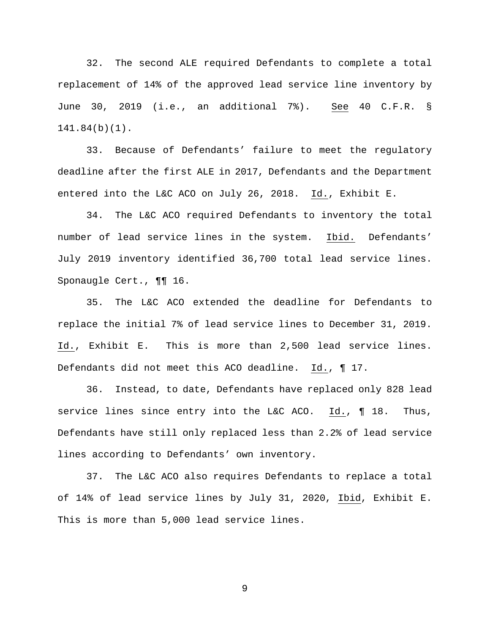32. The second ALE required Defendants to complete a total replacement of 14% of the approved lead service line inventory by June 30, 2019 (i.e., an additional 7%). See 40 C.F.R. § 141.84(b)(1).

33. Because of Defendants' failure to meet the regulatory deadline after the first ALE in 2017, Defendants and the Department entered into the L&C ACO on July 26, 2018. Id., Exhibit E.

34. The L&C ACO required Defendants to inventory the total number of lead service lines in the system. Ibid. Defendants' July 2019 inventory identified 36,700 total lead service lines. Sponaugle Cert., ¶¶ 16.

35. The L&C ACO extended the deadline for Defendants to replace the initial 7% of lead service lines to December 31, 2019. Id., Exhibit E. This is more than 2,500 lead service lines. Defendants did not meet this ACO deadline. Id., ¶ 17.

36. Instead, to date, Defendants have replaced only 828 lead service lines since entry into the L&C ACO. Id., ¶ 18. Thus, Defendants have still only replaced less than 2.2% of lead service lines according to Defendants' own inventory.

37. The L&C ACO also requires Defendants to replace a total of 14% of lead service lines by July 31, 2020, Ibid, Exhibit E. This is more than 5,000 lead service lines.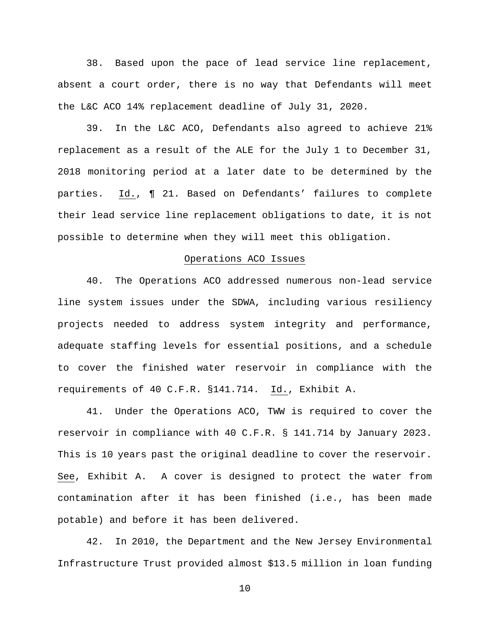38. Based upon the pace of lead service line replacement, absent a court order, there is no way that Defendants will meet the L&C ACO 14% replacement deadline of July 31, 2020.

39. In the L&C ACO, Defendants also agreed to achieve 21% replacement as a result of the ALE for the July 1 to December 31, 2018 monitoring period at a later date to be determined by the parties. Id., ¶ 21. Based on Defendants' failures to complete their lead service line replacement obligations to date, it is not possible to determine when they will meet this obligation.

# Operations ACO Issues

40. The Operations ACO addressed numerous non-lead service line system issues under the SDWA, including various resiliency projects needed to address system integrity and performance, adequate staffing levels for essential positions, and a schedule to cover the finished water reservoir in compliance with the requirements of 40 C.F.R. §141.714. Id., Exhibit A.

41. Under the Operations ACO, TWW is required to cover the reservoir in compliance with 40 C.F.R. § 141.714 by January 2023. This is 10 years past the original deadline to cover the reservoir. See, Exhibit A. A cover is designed to protect the water from contamination after it has been finished (i.e., has been made potable) and before it has been delivered.

42. In 2010, the Department and the New Jersey Environmental Infrastructure Trust provided almost \$13.5 million in loan funding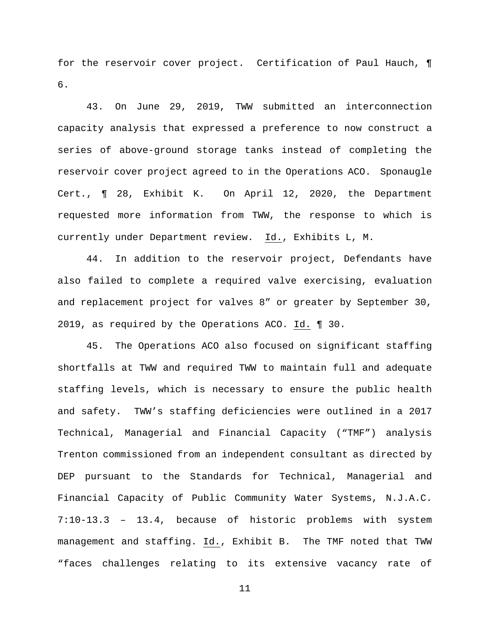for the reservoir cover project. Certification of Paul Hauch, ¶ 6.

43. On June 29, 2019, TWW submitted an interconnection capacity analysis that expressed a preference to now construct a series of above-ground storage tanks instead of completing the reservoir cover project agreed to in the Operations ACO. Sponaugle Cert., ¶ 28, Exhibit K. On April 12, 2020, the Department requested more information from TWW, the response to which is currently under Department review. Id., Exhibits L, M.

44. In addition to the reservoir project, Defendants have also failed to complete a required valve exercising, evaluation and replacement project for valves 8" or greater by September 30, 2019, as required by the Operations ACO. Id. ¶ 30.

45. The Operations ACO also focused on significant staffing shortfalls at TWW and required TWW to maintain full and adequate staffing levels, which is necessary to ensure the public health and safety. TWW's staffing deficiencies were outlined in a 2017 Technical, Managerial and Financial Capacity ("TMF") analysis Trenton commissioned from an independent consultant as directed by DEP pursuant to the Standards for Technical, Managerial and Financial Capacity of Public Community Water Systems, N.J.A.C. 7:10-13.3 – 13.4, because of historic problems with system management and staffing. Id., Exhibit B. The TMF noted that TWW "faces challenges relating to its extensive vacancy rate of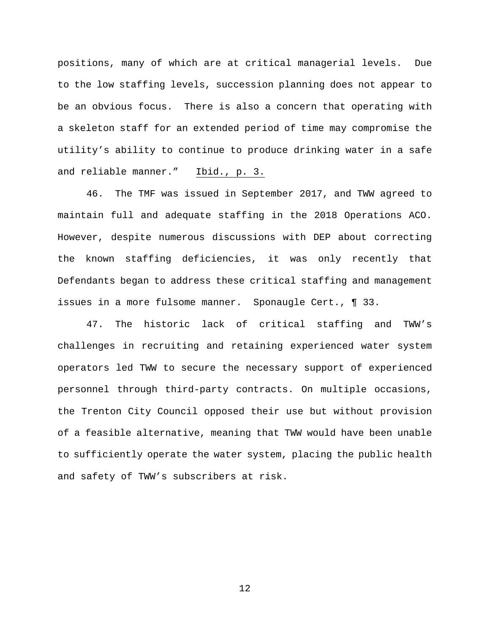positions, many of which are at critical managerial levels. Due to the low staffing levels, succession planning does not appear to be an obvious focus. There is also a concern that operating with a skeleton staff for an extended period of time may compromise the utility's ability to continue to produce drinking water in a safe and reliable manner." Ibid., p. 3.

46. The TMF was issued in September 2017, and TWW agreed to maintain full and adequate staffing in the 2018 Operations ACO. However, despite numerous discussions with DEP about correcting the known staffing deficiencies, it was only recently that Defendants began to address these critical staffing and management issues in a more fulsome manner. Sponaugle Cert., ¶ 33.

47. The historic lack of critical staffing and TWW's challenges in recruiting and retaining experienced water system operators led TWW to secure the necessary support of experienced personnel through third-party contracts. On multiple occasions, the Trenton City Council opposed their use but without provision of a feasible alternative, meaning that TWW would have been unable to sufficiently operate the water system, placing the public health and safety of TWW's subscribers at risk.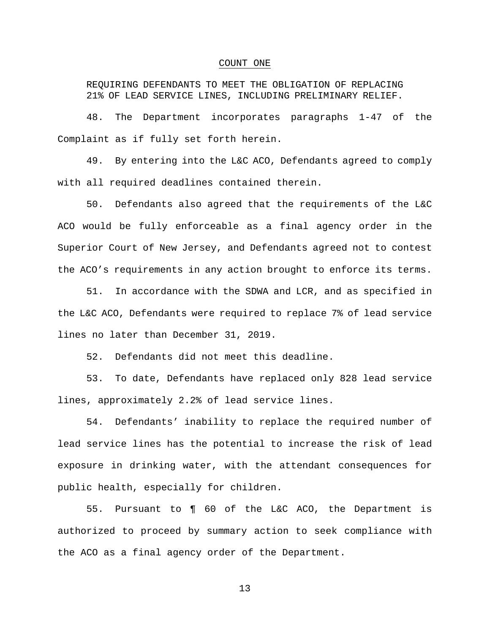#### COUNT ONE

REQUIRING DEFENDANTS TO MEET THE OBLIGATION OF REPLACING 21% OF LEAD SERVICE LINES, INCLUDING PRELIMINARY RELIEF.

48. The Department incorporates paragraphs 1-47 of the Complaint as if fully set forth herein.

49. By entering into the L&C ACO, Defendants agreed to comply with all required deadlines contained therein.

50. Defendants also agreed that the requirements of the L&C ACO would be fully enforceable as a final agency order in the Superior Court of New Jersey, and Defendants agreed not to contest the ACO's requirements in any action brought to enforce its terms.

51. In accordance with the SDWA and LCR, and as specified in the L&C ACO, Defendants were required to replace 7% of lead service lines no later than December 31, 2019.

52. Defendants did not meet this deadline.

53. To date, Defendants have replaced only 828 lead service lines, approximately 2.2% of lead service lines.

54. Defendants' inability to replace the required number of lead service lines has the potential to increase the risk of lead exposure in drinking water, with the attendant consequences for public health, especially for children.

55. Pursuant to ¶ 60 of the L&C ACO, the Department is authorized to proceed by summary action to seek compliance with the ACO as a final agency order of the Department.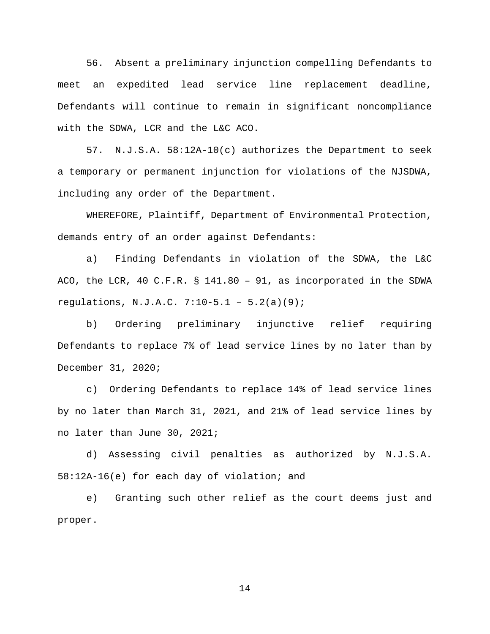56. Absent a preliminary injunction compelling Defendants to meet an expedited lead service line replacement deadline, Defendants will continue to remain in significant noncompliance with the SDWA, LCR and the L&C ACO.

57. N.J.S.A. 58:12A-10(c) authorizes the Department to seek a temporary or permanent injunction for violations of the NJSDWA, including any order of the Department.

WHEREFORE, Plaintiff, Department of Environmental Protection, demands entry of an order against Defendants:

a) Finding Defendants in violation of the SDWA, the L&C ACO, the LCR, 40 C.F.R. § 141.80 – 91, as incorporated in the SDWA regulations, N.J.A.C. 7:10-5.1 – 5.2(a)(9);

b) Ordering preliminary injunctive relief requiring Defendants to replace 7% of lead service lines by no later than by December 31, 2020;

c) Ordering Defendants to replace 14% of lead service lines by no later than March 31, 2021, and 21% of lead service lines by no later than June 30, 2021;

d) Assessing civil penalties as authorized by N.J.S.A. 58:12A-16(e) for each day of violation; and

e) Granting such other relief as the court deems just and proper.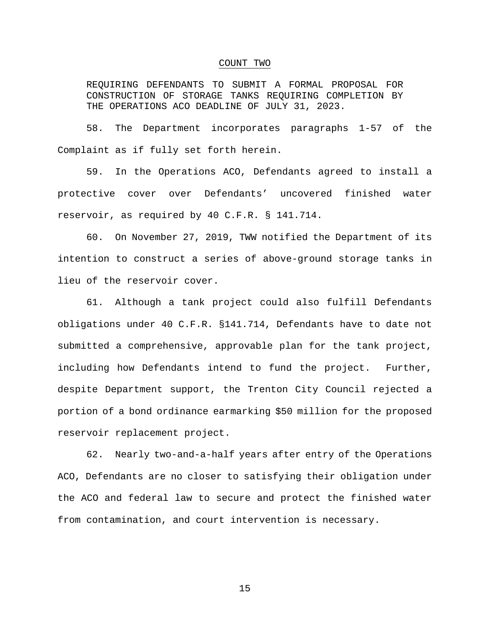#### COUNT TWO

REQUIRING DEFENDANTS TO SUBMIT A FORMAL PROPOSAL FOR CONSTRUCTION OF STORAGE TANKS REQUIRING COMPLETION BY THE OPERATIONS ACO DEADLINE OF JULY 31, 2023.

58. The Department incorporates paragraphs 1-57 of the Complaint as if fully set forth herein.

59. In the Operations ACO, Defendants agreed to install a protective cover over Defendants' uncovered finished water reservoir, as required by 40 C.F.R. § 141.714.

60. On November 27, 2019, TWW notified the Department of its intention to construct a series of above-ground storage tanks in lieu of the reservoir cover.

61. Although a tank project could also fulfill Defendants obligations under 40 C.F.R. §141.714, Defendants have to date not submitted a comprehensive, approvable plan for the tank project, including how Defendants intend to fund the project. Further, despite Department support, the Trenton City Council rejected a portion of a bond ordinance earmarking \$50 million for the proposed reservoir replacement project.

62. Nearly two-and-a-half years after entry of the Operations ACO, Defendants are no closer to satisfying their obligation under the ACO and federal law to secure and protect the finished water from contamination, and court intervention is necessary.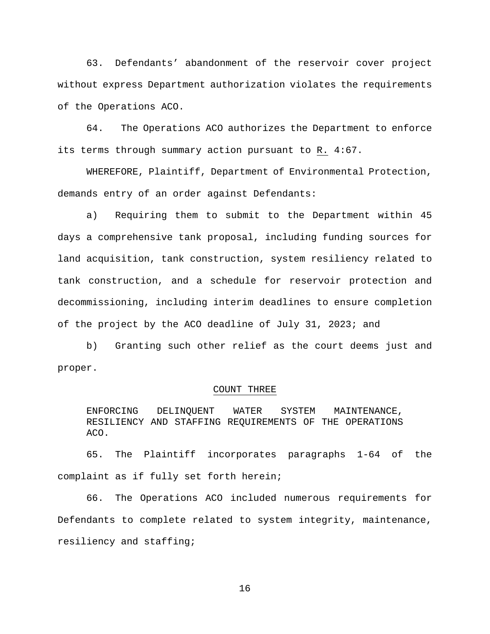63. Defendants' abandonment of the reservoir cover project without express Department authorization violates the requirements of the Operations ACO.

64. The Operations ACO authorizes the Department to enforce its terms through summary action pursuant to R. 4:67.

WHEREFORE, Plaintiff, Department of Environmental Protection, demands entry of an order against Defendants:

a) Requiring them to submit to the Department within 45 days a comprehensive tank proposal, including funding sources for land acquisition, tank construction, system resiliency related to tank construction, and a schedule for reservoir protection and decommissioning, including interim deadlines to ensure completion of the project by the ACO deadline of July 31, 2023; and

b) Granting such other relief as the court deems just and proper.

#### COUNT THREE

ENFORCING DELINQUENT WATER SYSTEM MAINTENANCE, RESILIENCY AND STAFFING REQUIREMENTS OF THE OPERATIONS ACO.

65. The Plaintiff incorporates paragraphs 1-64 of the complaint as if fully set forth herein;

66. The Operations ACO included numerous requirements for Defendants to complete related to system integrity, maintenance, resiliency and staffing;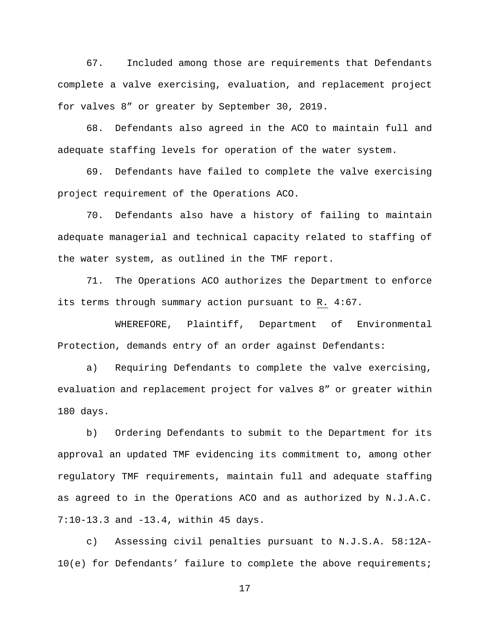67. Included among those are requirements that Defendants complete a valve exercising, evaluation, and replacement project for valves 8" or greater by September 30, 2019.

68. Defendants also agreed in the ACO to maintain full and adequate staffing levels for operation of the water system.

69. Defendants have failed to complete the valve exercising project requirement of the Operations ACO.

70. Defendants also have a history of failing to maintain adequate managerial and technical capacity related to staffing of the water system, as outlined in the TMF report.

71. The Operations ACO authorizes the Department to enforce its terms through summary action pursuant to R. 4:67.

WHEREFORE, Plaintiff, Department of Environmental Protection, demands entry of an order against Defendants:

a) Requiring Defendants to complete the valve exercising, evaluation and replacement project for valves 8" or greater within 180 days.

b) Ordering Defendants to submit to the Department for its approval an updated TMF evidencing its commitment to, among other regulatory TMF requirements, maintain full and adequate staffing as agreed to in the Operations ACO and as authorized by N.J.A.C. 7:10-13.3 and -13.4, within 45 days.

c) Assessing civil penalties pursuant to N.J.S.A. 58:12A-10(e) for Defendants' failure to complete the above requirements;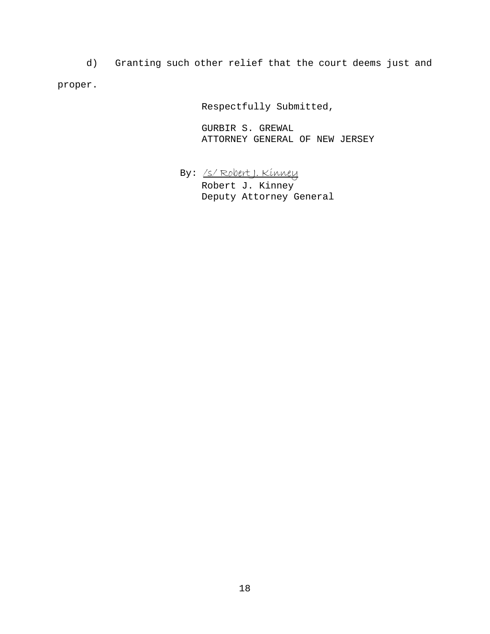d) Granting such other relief that the court deems just and proper.

Respectfully Submitted,

GURBIR S. GREWAL ATTORNEY GENERAL OF NEW JERSEY

By: /s/ Robert J. Kinney Robert J. Kinney Deputy Attorney General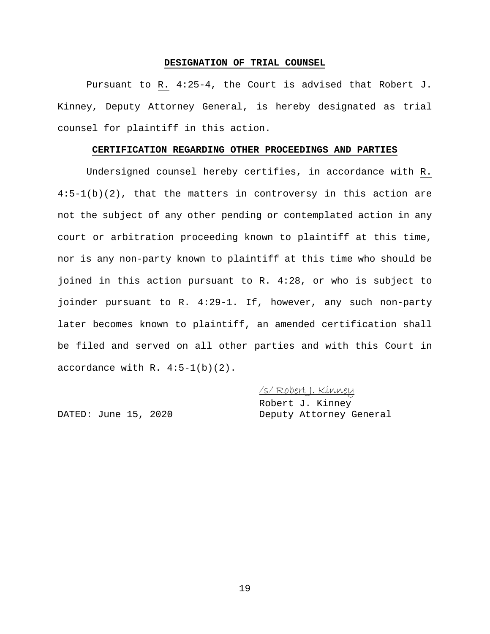#### **DESIGNATION OF TRIAL COUNSEL**

Pursuant to R. 4:25-4, the Court is advised that Robert J. Kinney, Deputy Attorney General, is hereby designated as trial counsel for plaintiff in this action.

#### **CERTIFICATION REGARDING OTHER PROCEEDINGS AND PARTIES**

Undersigned counsel hereby certifies, in accordance with R. 4:5-1(b)(2), that the matters in controversy in this action are not the subject of any other pending or contemplated action in any court or arbitration proceeding known to plaintiff at this time, nor is any non-party known to plaintiff at this time who should be joined in this action pursuant to R. 4:28, or who is subject to joinder pursuant to R. 4:29-1. If, however, any such non-party later becomes known to plaintiff, an amended certification shall be filed and served on all other parties and with this Court in accordance with  $R. 4:5-1(b)(2)$ .

/s/ Robert J. Kinney

Robert J. Kinney DATED: June 15, 2020 Deputy Attorney General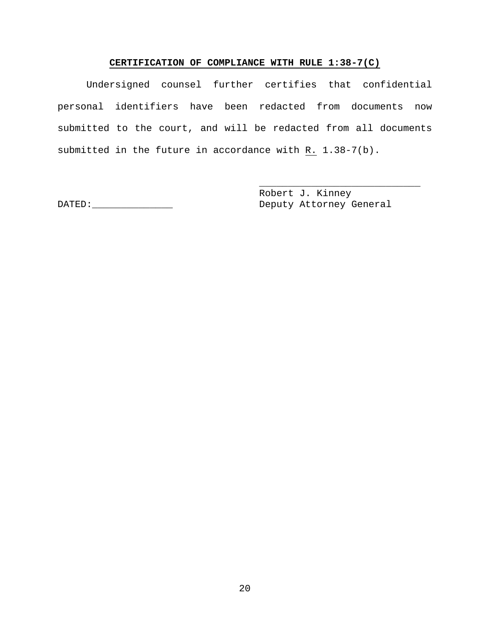# **CERTIFICATION OF COMPLIANCE WITH RULE 1:38-7(C)**

Undersigned counsel further certifies that confidential personal identifiers have been redacted from documents now submitted to the court, and will be redacted from all documents submitted in the future in accordance with R. 1.38-7(b).

Robert J. Kinney DATED:\_\_\_\_\_\_\_\_\_\_\_\_\_\_ Deputy Attorney General

\_\_\_\_\_\_\_\_\_\_\_\_\_\_\_\_\_\_\_\_\_\_\_\_\_\_\_\_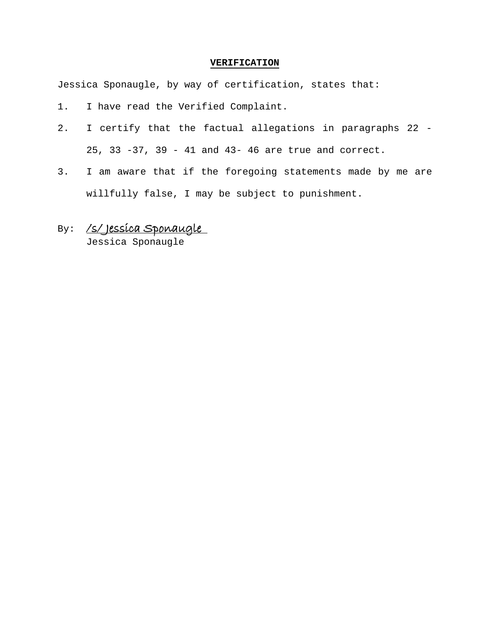#### **VERIFICATION**

Jessica Sponaugle, by way of certification, states that:

- 1. I have read the Verified Complaint.
- 2. I certify that the factual allegations in paragraphs 22 25, 33 -37, 39 - 41 and 43- 46 are true and correct.
- 3. I am aware that if the foregoing statements made by me are willfully false, I may be subject to punishment.

# By: /s/Jessica Sponaugle

Jessica Sponaugle